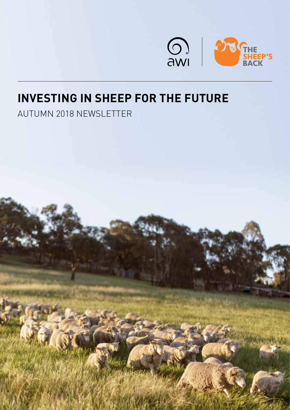

# **INVESTING IN SHEEP FOR THE FUTURE**

## AUTUMN 2018 NEWSLETTER

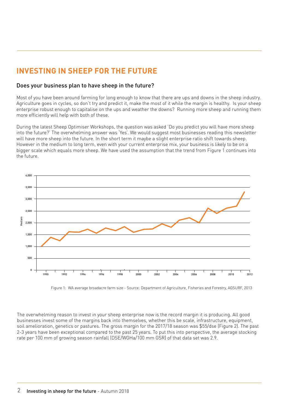## **INVESTING IN SHEEP FOR THE FUTURE**

#### Does your business plan to have sheep in the future?

Most of you have been around farming for long enough to know that there are ups and downs in the sheep industry. Agriculture goes in cycles, so don't try and predict it, make the most of it while the margin is healthy. Is your sheep enterprise robust enough to capitalise on the ups and weather the downs? Running more sheep and running them more efficiently will help with both of these.

During the latest Sheep Optimiser Workshops, the question was asked 'Do you predict you will have more sheep into the future?' The overwhelming answer was 'Yes'. We would suggest most businesses reading this newsletter will have more sheep into the future. In the short term it maybe a slight enterprise ratio shift towards sheep. However in the medium to long term, even with your current enterprise mix, your business is likely to be on a bigger scale which equals more sheep. We have used the assumption that the trend from Figure 1 continues into the future.



Figure 1: WA average broadacre farm size - Source: Department of Agriculture, Fisheries and Forestry, AGSURF, 2013

The overwhelming reason to invest in your sheep enterprise now is the record margin it is producing. All good businesses invest some of the margins back into themselves, whether this be scale, infrastructure, equipment, soil amelioration, genetics or pastures. The gross margin for the 2017/18 season was \$55/dse (Figure 2). The past 2-3 years have been exceptional compared to the past 25 years. To put this into perspective, the average stocking rate per 100 mm of growing season rainfall (DSE/WGHa/100 mm GSR) of that data set was 2.9.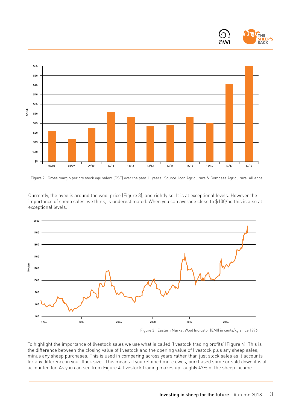



Figure 2: Gross margin per dry stock equivalent (DSE) over the past 11 years. Source: Icon Agriculture & Compass Agricultural Alliance

Currently, the hype is around the wool price (Figure 3), and rightly so. It is at exceptional levels. However the importance of sheep sales, we think, is underestimated. When you can average close to \$100/hd this is also at exceptional levels.



Figure 3: Eastern Market Wool Indicator (EMI) in cents/kg since 1996

To highlight the importance of livestock sales we use what is called 'livestock trading profits' (Figure 4). This is the difference between the closing value of livestock and the opening value of livestock plus any sheep sales, minus any sheep purchases. This is used in comparing across years rather than just stock sales as it accounts for any difference in your flock size. This means if you retained more ewes, purchased some or sold down it is all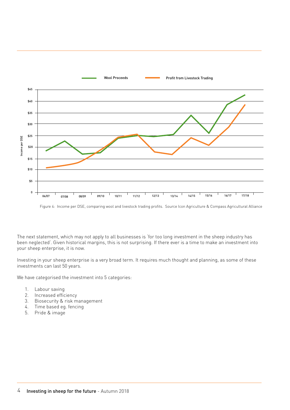

Figure 4: Income per DSE, comparing wool and livestock trading profits. Source Icon Agriculture & Compass Agricultural Alliance

The next statement, which may not apply to all businesses is 'for too long investment in the sheep industry has been neglected'. Given historical margins, this is not surprising. If there ever is a time to make an investment into your sheep enterprise, it is now.

Investing in your sheep enterprise is a very broad term. It requires much thought and planning, as some of these investments can last 50 years.

We have categorised the investment into 5 categories:

- 1. Labour saving
- 2. Increased efficiency
- 3. Biosecurity & risk management
- 4. Time based eg. fencing
- 5. Pride & image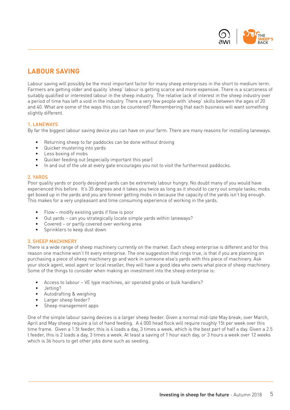

## **LABOUR SAVING**

Labour saving will possibly be the most important factor for many sheep enterprises in the short to medium term. Farmers are getting older and quality 'sheep' labour is getting scarce and more expensive. There is a scarceness of suitably qualified or interested labour in the sheep industry. The relative lack of interest in the sheep industry over a period of time has left a void in the industry. There a very few people with 'sheep' skills between the ages of 20 and 40. What are some of the ways this can be countered? Remembering that each business will want something slightly different.

#### 1. LANEWAYS

By far the biggest labour saving device you can have on your farm. There are many reasons for installing laneways.

- Returning sheep to far paddocks can be done without droving
- Quicker mustering into yards
- Less boxing of mobs
- Quicker feeding out (especially important this year)
- In and out of the ute at every gate encourages you not to visit the furthermost paddocks.

#### 2. YARDS

Poor quality yards or poorly designed yards can be extremely labour hungry. No doubt many of you would have experienced this before. It's 35 degrees and it takes you twice as long as it should to carry out simple tasks; mobs get boxed up in the yards and you are forever getting mobs in because the capacity of the yards isn't big enough. This makes for a very unpleasant and time consuming experience of working in the yards.

- Flow modify existing yards if flow is poor
- Out yards can you strategically locate simple yards within laneways?
- Covered or partly covered over working area
- Sprinklers to keep dust down

#### 3. SHEEP MACHINERY

There is a wide range of sheep machinery currently on the market. Each sheep enterprise is different and for this reason one machine won't fit every enterprise. The one suggestion that rings true, is that if you are planning on purchasing a piece of sheep machinery go and work in someone else's yards with this piece of machinery. Ask your stock agent, wool agent or local reseller, they will have a good idea who owns what piece of sheep machinery. Some of the things to consider when making an investment into the sheep enterprise is:

- Access to labour VE type machines, air operated grabs or bulk handlers?
- Jetting?
- Autodrafting & weighing
- Larger sheep feeder?
- Sheep management apps

One of the simple labour saving devices is a larger sheep feeder. Given a normal mid-late May break; over March, April and May sheep require a lot of hand feeding. A 4 000 head flock will require roughly 15t per week over this time frame. Given a 1.5t feeder, this is 4 loads a day, 3 times a week, which is the best part of half a day. Given a 2.5 t feeder, this is 2 loads a day, 3 times a week. At least a saving of 1 hour each day, or 3 hours a week over 12 weeks which is 36 hours to get other jobs done such as seeding.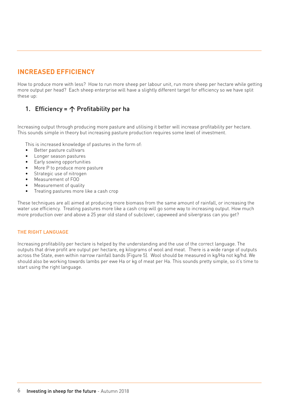## **INCREASED EFFICIENCY**

How to produce more with less? How to run more sheep per labour unit, run more sheep per hectare while getting more output per head? Each sheep enterprise will have a slightly different target for efficiency so we have split these up:

## 1. Efficiency =  $\uparrow$  Profitability per ha

Increasing output through producing more pasture and utilising it better will increase profitability per hectare. This sounds simple in theory but increasing pasture production requires some level of investment.

This is increased knowledge of pastures in the form of:

- Better pasture cultivars
- Longer season pastures
- Early sowing opportunities
- More P to produce more pasture
- Strategic use of nitrogen
- Measurement of FOO
- Measurement of quality
- Treating pastures more like a cash crop

These techniques are all aimed at producing more biomass from the same amount of rainfall, or increasing the water use efficiency. Treating pastures more like a cash crop will go some way to increasing output. How much more production over and above a 25 year old stand of subclover, capeweed and silvergrass can you get?

#### THE RIGHT LANGUAGE

Increasing profitability per hectare is helped by the understanding and the use of the correct language. The outputs that drive profit are output per hectare, eg kilograms of wool and meat. There is a wide range of outputs across the State, even within narrow rainfall bands (Figure 5). Wool should be measured in kg/Ha not kg/hd. We should also be working towards lambs per ewe Ha or kg of meat per Ha. This sounds pretty simple, so it's time to start using the right language.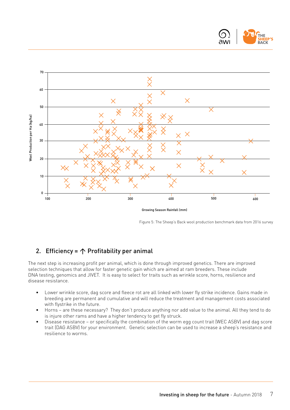



Growing Season Rainfall (mm)

Figure 5: The Sheep's Back wool production benchmark data from 2016 survey

### 2. Efficiency =  $\uparrow$  Profitability per animal

The next step is increasing profit per animal, which is done through improved genetics. There are improved selection techniques that allow for faster genetic gain which are aimed at ram breeders. These include DNA testing, genomics and JIVET. It is easy to select for traits such as wrinkle score, horns, resilience and disease resistance.

- Lower wrinkle score, dag score and fleece rot are all linked with lower fly strike incidence. Gains made in breeding are permanent and cumulative and will reduce the treatment and management costs associated with flystrike in the future.
- Horns are these necessary? They don't produce anything nor add value to the animal. All they tend to do is injure other rams and have a higher tendency to get fly struck.
- Disease resistance or specifically the combination of the worm egg count trait (WEC ASBV) and dag score trait (DAG ASBV) for your environment. Genetic selection can be used to increase a sheep's resistance and resilience to worms.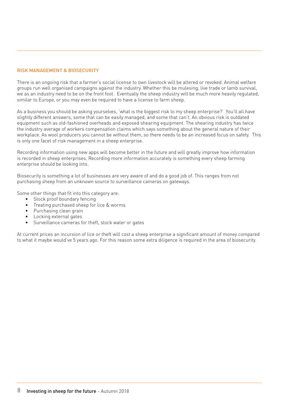#### RISK MANAGEMENT & BIOSECURITY

There is an ongoing risk that a farmer's social license to own livestock will be altered or revoked. Animal welfare groups run well organised campaigns against the industry. Whether this be mulesing, live trade or lamb survival, we as an industry need to be on the front foot. Eventually the sheep industry will be much more heavily regulated, similar to Europe, or you may even be required to have a license to farm sheep.

As a business you should be asking yourselves, 'what is the biggest risk to my sheep enterprise?' You'll all have slightly different answers, some that can be easily managed, and some that can't. An obvious risk is outdated equipment such as old-fashioned overheads and exposed shearing equipment. The shearing industry has twice the industry average of workers compensation claims which says something about the general nature of their workplace. As wool producers you cannot be without them, so there needs to be an increased focus on safety. This is only one facet of risk management in a sheep enterprise.

Recording information using new apps will become better in the future and will greatly improve how information is recorded in sheep enterprises. Recording more information accurately is something every sheep farming enterprise should be looking into.

Biosecurity is something a lot of businesses are very aware of and do a good job of. This ranges from not purchasing sheep from an unknown source to surveillance cameras on gateways.

Some other things that fit into this category are:

- Stock proof boundary fencing
- Treating purchased sheep for lice & worms
- Purchasing clean grain
- Locking external gates
- Surveillance cameras for theft, stock water or gates

At current prices an incursion of lice or theft will cost a sheep enterprise a significant amount of money compared to what it maybe would've 5 years ago. For this reason some extra diligence is required in the area of biosecurity.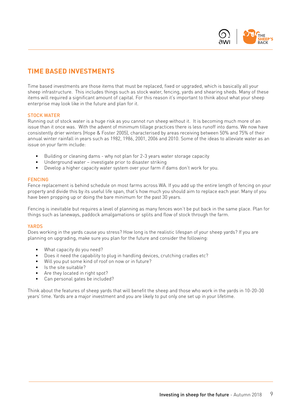

## **TIME BASED INVESTMENTS**

Time based investments are those items that must be replaced, fixed or upgraded, which is basically all your sheep infrastructure. This includes things such as stock water, fencing, yards and shearing sheds. Many of these items will required a significant amount of capital. For this reason it's important to think about what your sheep enterprise may look like in the future and plan for it.

#### STOCK WATER

Running out of stock water is a huge risk as you cannot run sheep without it. It is becoming much more of an issue than it once was. With the advent of minimum tillage practices there is less runoff into dams. We now have consistently drier winters (Hope & Foster 2005), characterised by areas receiving between 50% and 75% of their annual winter rainfall in years such as 1982, 1986, 2001, 2006 and 2010. Some of the ideas to alleviate water as an issue on your farm include:

- Building or cleaning dams why not plan for 2-3 years water storage capacity
- Underground water investigate prior to disaster striking
- Develop a higher capacity water system over your farm if dams don't work for you.

#### FENCING

Fence replacement is behind schedule on most farms across WA. If you add up the entire length of fencing on your property and divide this by its useful life span, that's how much you should aim to replace each year. Many of you have been propping up or doing the bare minimum for the past 30 years.

Fencing is inevitable but requires a level of planning as many fences won't be put back in the same place. Plan for things such as laneways, paddock amalgamations or splits and flow of stock through the farm.

#### YARDS

Does working in the yards cause you stress? How long is the realistic lifespan of your sheep yards? If you are planning on upgrading, make sure you plan for the future and consider the following:

- What capacity do you need?
- Does it need the capability to plug in handling devices, crutching cradles etc?
- Will you put some kind of roof on now or in future?
- Is the site suitable?
- Are they located in right spot?
- Can personal gates be included?

Think about the features of sheep yards that will benefit the sheep and those who work in the yards in 10-20-30 years' time. Yards are a major investment and you are likely to put only one set up in your lifetime.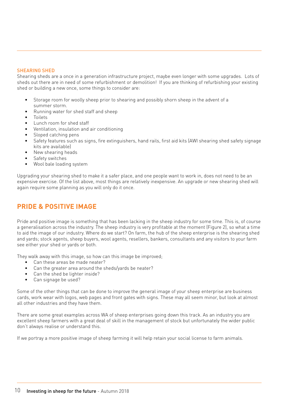#### SHEARING SHED

Shearing sheds are a once in a generation infrastructure project, maybe even longer with some upgrades. Lots of sheds out there are in need of some refurbishment or demolition! If you are thinking of refurbishing your existing shed or building a new once, some things to consider are:

- Storage room for woolly sheep prior to shearing and possibly shorn sheep in the advent of a summer storm.
- Running water for shed staff and sheep
- Toilets
- Lunch room for shed staff
- Ventilation, insulation and air conditioning
- Sloped catching pens
- Safety features such as signs, fire extinguishers, hand rails, first aid kits (AWI shearing shed safety signage kits are available)
- New shearing heads
- Safety switches
- Wool bale loading system

Upgrading your shearing shed to make it a safer place, and one people want to work in, does not need to be an expensive exercise. Of the list above, most things are relatively inexpensive. An upgrade or new shearing shed will again require some planning as you will only do it once.

## **PRIDE & POSITIVE IMAGE**

Pride and positive image is something that has been lacking in the sheep industry for some time. This is, of course a generalisation across the industry. The sheep industry is very profitable at the moment (Figure 2), so what a time to aid the image of our industry. Where do we start? On farm, the hub of the sheep enterprise is the shearing shed and yards; stock agents, sheep buyers, wool agents, resellers, bankers, consultants and any visitors to your farm see either your shed or yards or both.

They walk away with this image, so how can this image be improved;

- Can these areas be made neater?
- Can the greater area around the sheds/yards be neater?
- Can the shed be lighter inside?
- Can signage be used?

Some of the other things that can be done to improve the general image of your sheep enterprise are business cards, work wear with logos, web pages and front gates with signs. These may all seem minor, but look at almost all other industries and they have them.

There are some great examples across WA of sheep enterprises going down this track. As an industry you are excellent sheep farmers with a great deal of skill in the management of stock but unfortunately the wider public don't always realise or understand this.

If we portray a more positive image of sheep farming it will help retain your social license to farm animals.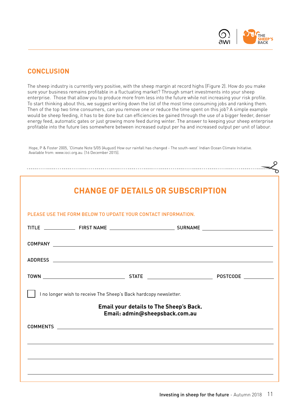

## **CONCLUSION**

The sheep industry is currently very positive, with the sheep margin at record highs (Figure 2). How do you make sure your business remains profitable in a fluctuating market? Through smart investments into your sheep enterprise. Those that allow you to produce more from less into the future while not increasing your risk profile. To start thinking about this, we suggest writing down the list of the most time consuming jobs and ranking them. Then of the top two time consumers, can you remove one or reduce the time spent on this job? A simple example would be sheep feeding, it has to be done but can efficiencies be gained through the use of a bigger feeder, denser energy feed, automatic gates or just growing more feed during winter. The answer to keeping your sheep enterprise profitable into the future lies somewhere between increased output per ha and increased output per unit of labour.

|                                                                                                                                                                                                                               |                                                                                  | ,我们也不会有什么。""我们的人,我们也不会有什么?""我们的人,我们也不会有什么?""我们的人,我们也不会有什么?""我们的人,我们也不会有什么?""我们的人<br><b>CHANGE OF DETAILS OR SUBSCRIPTION</b> |  |
|-------------------------------------------------------------------------------------------------------------------------------------------------------------------------------------------------------------------------------|----------------------------------------------------------------------------------|------------------------------------------------------------------------------------------------------------------------------|--|
|                                                                                                                                                                                                                               |                                                                                  |                                                                                                                              |  |
| PLEASE USE THE FORM BELOW TO UPDATE YOUR CONTACT INFORMATION.                                                                                                                                                                 |                                                                                  |                                                                                                                              |  |
|                                                                                                                                                                                                                               |                                                                                  |                                                                                                                              |  |
| COMPANY LEADERS AND COMPANY LEADERS AND RESIDENCE AND RESIDENCE AND RESIDENCE AND RESIDENCE AND RESIDENCE AND RESIDENCE AND RESIDENCE AND RESIDENCE AND RESIDENCE AND RESIDENCE AND RESIDENCE AND RESIDENCE AND RESIDENCE AND |                                                                                  |                                                                                                                              |  |
|                                                                                                                                                                                                                               |                                                                                  |                                                                                                                              |  |
|                                                                                                                                                                                                                               |                                                                                  |                                                                                                                              |  |
|                                                                                                                                                                                                                               | I no longer wish to receive The Sheep's Back hardcopy newsletter.                |                                                                                                                              |  |
|                                                                                                                                                                                                                               | <b>Email your details to The Sheep's Back.</b><br>Email: admin@sheepsback.com.au |                                                                                                                              |  |
|                                                                                                                                                                                                                               |                                                                                  |                                                                                                                              |  |
|                                                                                                                                                                                                                               |                                                                                  |                                                                                                                              |  |